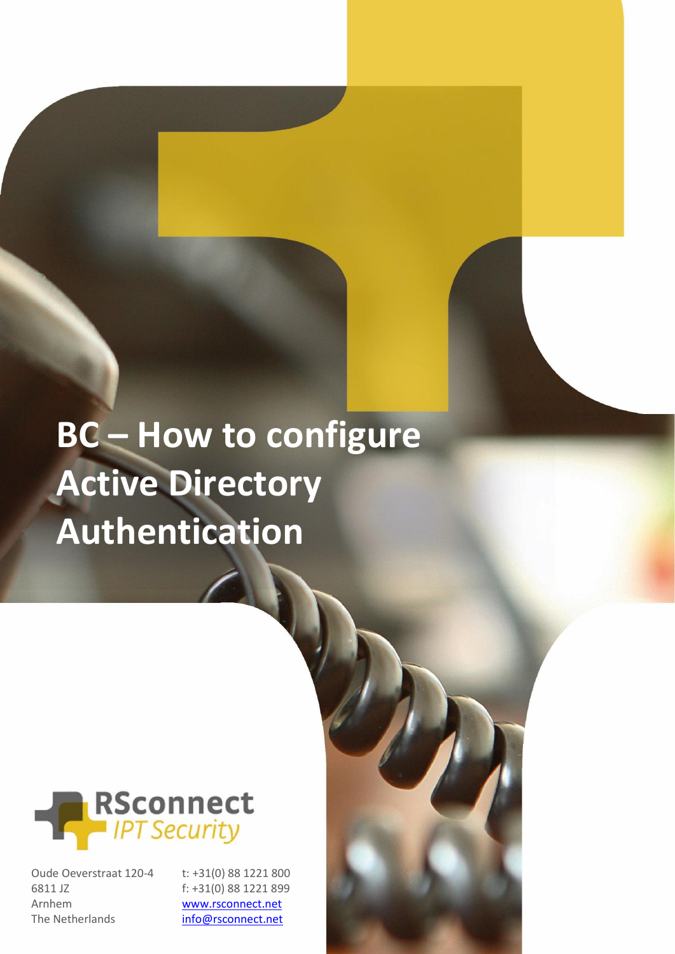## **BC – How to configure Active Directory Authentication**



Oude Oeverstraat 120-4 6811 JZ Arnhem The Netherlands

t: +31(0) 88 1221 800 f: +31(0) 88 1221 899 [www.rsconnect.net](http://www.rsconnect.net/)

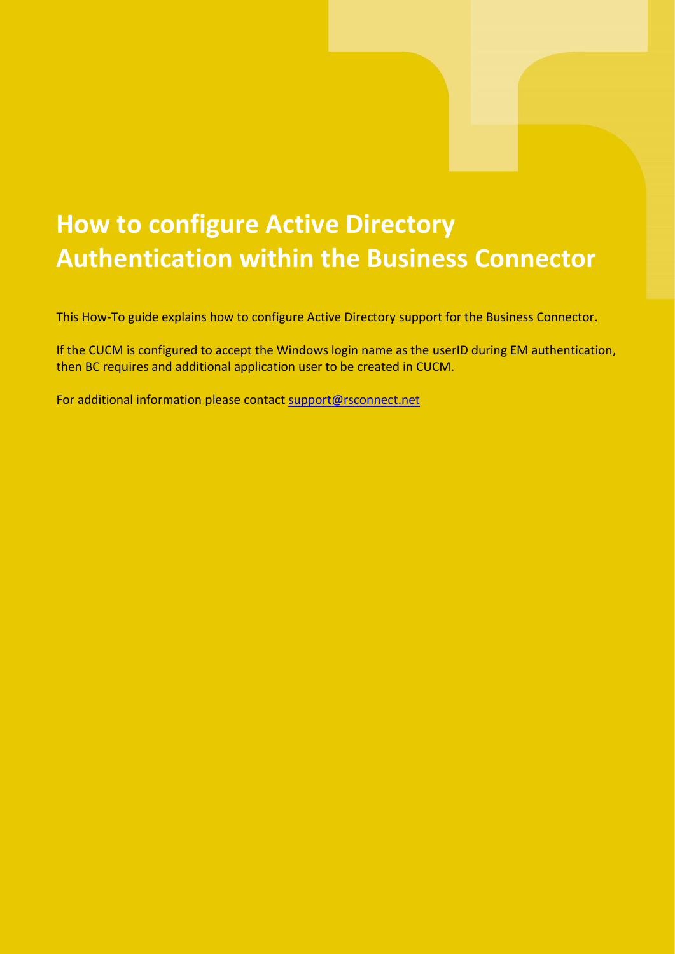## **How to configure Active Directory Authentication within the Business Connector**

This How-To guide explains how to configure Active Directory support for the Business Connector.

If the CUCM is configured to accept the Windows login name as the userID during EM authentication, then BC requires and additional application user to be created in CUCM.

For additional information please contact [support@rsconnect.net](mailto:support@rsconnect.net)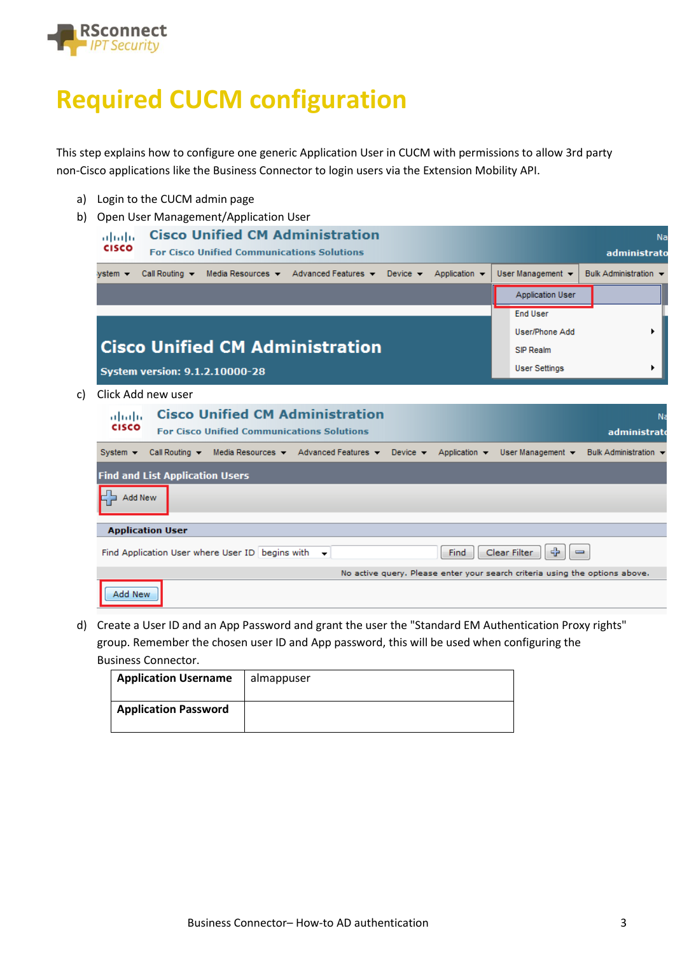

## **Required CUCM configuration**

This step explains how to configure one generic Application User in CUCM with permissions to allow 3rd party non-Cisco applications like the Business Connector to login users via the Extension Mobility API.

- a) Login to the CUCM admin page
- b) Open User Management/Application User

|     | ahaha<br><b>CISCO</b>                                                                                                | <b>Cisco Unified CM Administration</b><br><b>For Cisco Unified Communications Solutions</b> |  |  |  |  |                                                                                                                                               |  |  |  |                               |                                                                             | Na<br>administrato |                                                                        |                |  |                                           |   |  |
|-----|----------------------------------------------------------------------------------------------------------------------|---------------------------------------------------------------------------------------------|--|--|--|--|-----------------------------------------------------------------------------------------------------------------------------------------------|--|--|--|-------------------------------|-----------------------------------------------------------------------------|--------------------|------------------------------------------------------------------------|----------------|--|-------------------------------------------|---|--|
|     | vstem →                                                                                                              |                                                                                             |  |  |  |  | Call Routing $\bullet$ Media Resources $\bullet$ Advanced Features $\bullet$ Device $\bullet$ Application $\bullet$                           |  |  |  |                               |                                                                             |                    | User Management -                                                      |                |  | Bulk Administration $\blacktriangleright$ |   |  |
|     |                                                                                                                      |                                                                                             |  |  |  |  |                                                                                                                                               |  |  |  |                               |                                                                             |                    | Application User                                                       |                |  |                                           |   |  |
|     | <b>System version: 9.1.2.10000-28</b>                                                                                |                                                                                             |  |  |  |  | <b>Cisco Unified CM Administration</b>                                                                                                        |  |  |  |                               |                                                                             |                    | <b>End User</b><br>User/Phone Add<br>SIP Realm<br><b>User Settings</b> |                |  |                                           | ٠ |  |
| c). | Click Add new user                                                                                                   |                                                                                             |  |  |  |  |                                                                                                                                               |  |  |  |                               |                                                                             |                    |                                                                        |                |  |                                           |   |  |
|     | <b>Cisco Unified CM Administration</b><br>ahaha<br><b>CISCO</b><br><b>For Cisco Unified Communications Solutions</b> |                                                                                             |  |  |  |  |                                                                                                                                               |  |  |  |                               |                                                                             |                    | administrato                                                           | N <sub>3</sub> |  |                                           |   |  |
|     | System $\blacktriangleright$                                                                                         |                                                                                             |  |  |  |  | Call Routing $\blacktriangleright$ Media Resources $\blacktriangleright$ Advanced Features $\blacktriangleright$ Device $\blacktriangleright$ |  |  |  |                               | Application $\blacktriangledown$                                            |                    | User Management $\blacktriangledown$                                   |                |  | Bulk Administration -                     |   |  |
|     | <b>Find and List Application Users</b>                                                                               |                                                                                             |  |  |  |  |                                                                                                                                               |  |  |  |                               |                                                                             |                    |                                                                        |                |  |                                           |   |  |
|     |                                                                                                                      | Add New                                                                                     |  |  |  |  |                                                                                                                                               |  |  |  |                               |                                                                             |                    |                                                                        |                |  |                                           |   |  |
|     | <b>Application User</b>                                                                                              |                                                                                             |  |  |  |  |                                                                                                                                               |  |  |  |                               |                                                                             |                    |                                                                        |                |  |                                           |   |  |
|     | Find Application User where User ID begins with<br>Find<br>$\overline{\phantom{a}}$                                  |                                                                                             |  |  |  |  |                                                                                                                                               |  |  |  | ⊕<br>Clear Filter<br>$\equiv$ |                                                                             |                    |                                                                        |                |  |                                           |   |  |
|     |                                                                                                                      |                                                                                             |  |  |  |  |                                                                                                                                               |  |  |  |                               | No active query. Please enter your search criteria using the options above. |                    |                                                                        |                |  |                                           |   |  |
|     | Add New                                                                                                              |                                                                                             |  |  |  |  |                                                                                                                                               |  |  |  |                               |                                                                             |                    |                                                                        |                |  |                                           |   |  |

d) Create a User ID and an App Password and grant the user the "Standard EM Authentication Proxy rights" group. Remember the chosen user ID and App password, this will be used when configuring the Business Connector.

| <b>Application Username</b> | almappuser |
|-----------------------------|------------|
| <b>Application Password</b> |            |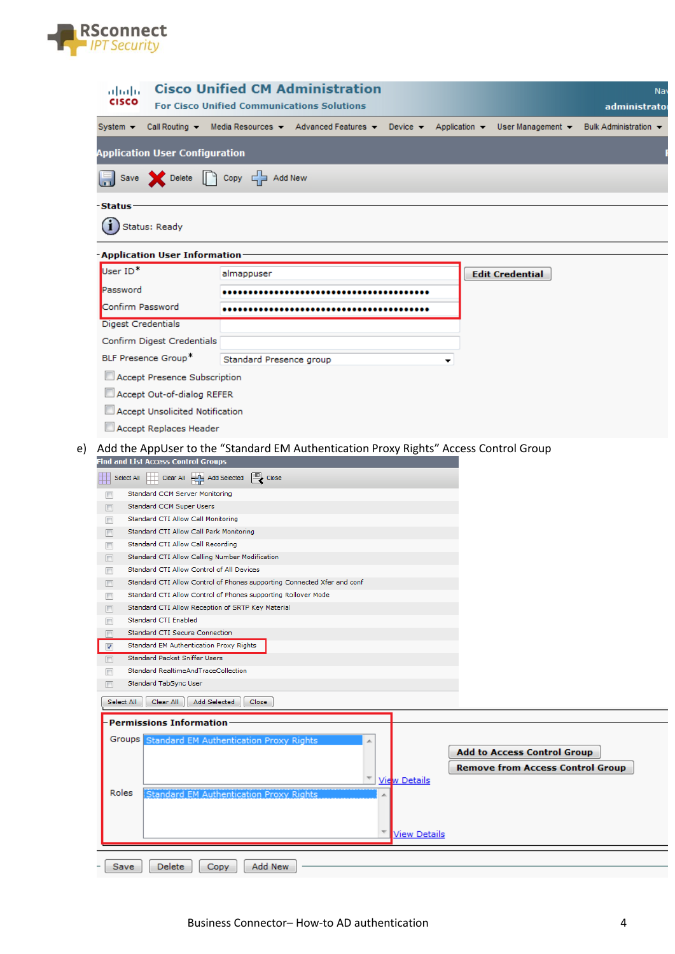

| ahaha<br><b>CISCO</b>                                                                                                                                                                                                                                                                                                                                                                                                                                                                                                                                                                                                                                                                                                                                                                                                                                                                |                                                | <b>Cisco Unified CM Administration</b><br><b>For Cisco Unified Communications Solutions</b> |                      |                                                                                                                                   | Na<br>administrato    |
|--------------------------------------------------------------------------------------------------------------------------------------------------------------------------------------------------------------------------------------------------------------------------------------------------------------------------------------------------------------------------------------------------------------------------------------------------------------------------------------------------------------------------------------------------------------------------------------------------------------------------------------------------------------------------------------------------------------------------------------------------------------------------------------------------------------------------------------------------------------------------------------|------------------------------------------------|---------------------------------------------------------------------------------------------|----------------------|-----------------------------------------------------------------------------------------------------------------------------------|-----------------------|
| System $\sim$                                                                                                                                                                                                                                                                                                                                                                                                                                                                                                                                                                                                                                                                                                                                                                                                                                                                        |                                                |                                                                                             |                      | Call Routing $\star$ Media Resources $\star$ Advanced Features $\star$ Device $\star$ Application $\star$ User Management $\star$ | Bulk Administration + |
|                                                                                                                                                                                                                                                                                                                                                                                                                                                                                                                                                                                                                                                                                                                                                                                                                                                                                      |                                                |                                                                                             |                      |                                                                                                                                   |                       |
| <b>Application User Configuration</b>                                                                                                                                                                                                                                                                                                                                                                                                                                                                                                                                                                                                                                                                                                                                                                                                                                                |                                                |                                                                                             |                      |                                                                                                                                   |                       |
| Save Celete C Copy C Add New                                                                                                                                                                                                                                                                                                                                                                                                                                                                                                                                                                                                                                                                                                                                                                                                                                                         |                                                |                                                                                             |                      |                                                                                                                                   |                       |
| -Status                                                                                                                                                                                                                                                                                                                                                                                                                                                                                                                                                                                                                                                                                                                                                                                                                                                                              |                                                |                                                                                             |                      |                                                                                                                                   |                       |
|                                                                                                                                                                                                                                                                                                                                                                                                                                                                                                                                                                                                                                                                                                                                                                                                                                                                                      |                                                |                                                                                             |                      |                                                                                                                                   |                       |
| Status: Ready                                                                                                                                                                                                                                                                                                                                                                                                                                                                                                                                                                                                                                                                                                                                                                                                                                                                        |                                                |                                                                                             |                      |                                                                                                                                   |                       |
| -Application User Information                                                                                                                                                                                                                                                                                                                                                                                                                                                                                                                                                                                                                                                                                                                                                                                                                                                        |                                                |                                                                                             |                      |                                                                                                                                   |                       |
| User ID <sup>*</sup>                                                                                                                                                                                                                                                                                                                                                                                                                                                                                                                                                                                                                                                                                                                                                                                                                                                                 | almappuser                                     |                                                                                             |                      | <b>Edit Credential</b>                                                                                                            |                       |
| Password                                                                                                                                                                                                                                                                                                                                                                                                                                                                                                                                                                                                                                                                                                                                                                                                                                                                             |                                                |                                                                                             |                      |                                                                                                                                   |                       |
| Confirm Password                                                                                                                                                                                                                                                                                                                                                                                                                                                                                                                                                                                                                                                                                                                                                                                                                                                                     |                                                |                                                                                             |                      |                                                                                                                                   |                       |
| <b>Digest Credentials</b>                                                                                                                                                                                                                                                                                                                                                                                                                                                                                                                                                                                                                                                                                                                                                                                                                                                            |                                                |                                                                                             |                      |                                                                                                                                   |                       |
| Confirm Digest Credentials                                                                                                                                                                                                                                                                                                                                                                                                                                                                                                                                                                                                                                                                                                                                                                                                                                                           |                                                |                                                                                             |                      |                                                                                                                                   |                       |
| BLF Presence Group*                                                                                                                                                                                                                                                                                                                                                                                                                                                                                                                                                                                                                                                                                                                                                                                                                                                                  | Standard Presence group                        |                                                                                             |                      |                                                                                                                                   |                       |
| Accept Presence Subscription                                                                                                                                                                                                                                                                                                                                                                                                                                                                                                                                                                                                                                                                                                                                                                                                                                                         |                                                |                                                                                             |                      |                                                                                                                                   |                       |
| Accept Out-of-dialog REFER                                                                                                                                                                                                                                                                                                                                                                                                                                                                                                                                                                                                                                                                                                                                                                                                                                                           |                                                |                                                                                             |                      |                                                                                                                                   |                       |
| Accept Unsolicited Notification                                                                                                                                                                                                                                                                                                                                                                                                                                                                                                                                                                                                                                                                                                                                                                                                                                                      |                                                |                                                                                             |                      |                                                                                                                                   |                       |
| Accept Replaces Header                                                                                                                                                                                                                                                                                                                                                                                                                                                                                                                                                                                                                                                                                                                                                                                                                                                               |                                                |                                                                                             |                      |                                                                                                                                   |                       |
| Select All Clear All <b>Extra</b> Add Selected <b>Close</b><br>H<br>Standard CCM Server Monitoring<br>Standard CCM Super Users<br>Standard CTI Allow Call Monitoring<br>F<br>Standard CTI Allow Call Park Monitoring<br>▣<br>Standard CTI Allow Call Recording<br>П<br>Standard CTI Allow Calling Number Modification<br>Standard CTI Allow Control of All Devices<br>П<br>Standard CTI Allow Control of Phones supporting Connected Xfer and conf<br>$\blacksquare$<br>Standard CTI Allow Control of Phones supporting Rollover Mode<br>$\Box$<br>Standard CTI Allow Reception of SRTP Key Material<br>Standard CTI Enabled<br>П<br>Standard CTI Secure Connection<br>Standard EM Authentication Proxy Rights<br>$\overline{\mathbf{v}}$<br>Standard Packet Sniffer Users<br>$\Box$<br>Standard RealtimeAndTraceCollection<br>Standard TabSync User<br>F<br>Select All<br>Clear All | Add Selected<br>Close                          |                                                                                             |                      |                                                                                                                                   |                       |
| <b>Permissions Information</b>                                                                                                                                                                                                                                                                                                                                                                                                                                                                                                                                                                                                                                                                                                                                                                                                                                                       |                                                |                                                                                             |                      |                                                                                                                                   |                       |
| Groups                                                                                                                                                                                                                                                                                                                                                                                                                                                                                                                                                                                                                                                                                                                                                                                                                                                                               | Standard EM Authentication Proxy Rights        |                                                                                             |                      | <b>Add to Access Control Group</b>                                                                                                |                       |
|                                                                                                                                                                                                                                                                                                                                                                                                                                                                                                                                                                                                                                                                                                                                                                                                                                                                                      |                                                |                                                                                             |                      | <b>Remove from Access Control Group</b>                                                                                           |                       |
|                                                                                                                                                                                                                                                                                                                                                                                                                                                                                                                                                                                                                                                                                                                                                                                                                                                                                      |                                                |                                                                                             |                      |                                                                                                                                   |                       |
|                                                                                                                                                                                                                                                                                                                                                                                                                                                                                                                                                                                                                                                                                                                                                                                                                                                                                      |                                                |                                                                                             | <b>View Details</b>  |                                                                                                                                   |                       |
| Roles                                                                                                                                                                                                                                                                                                                                                                                                                                                                                                                                                                                                                                                                                                                                                                                                                                                                                | <b>Standard EM Authentication Proxy Rights</b> |                                                                                             |                      |                                                                                                                                   |                       |
|                                                                                                                                                                                                                                                                                                                                                                                                                                                                                                                                                                                                                                                                                                                                                                                                                                                                                      |                                                |                                                                                             |                      |                                                                                                                                   |                       |
|                                                                                                                                                                                                                                                                                                                                                                                                                                                                                                                                                                                                                                                                                                                                                                                                                                                                                      |                                                |                                                                                             | <u> View Details</u> |                                                                                                                                   |                       |